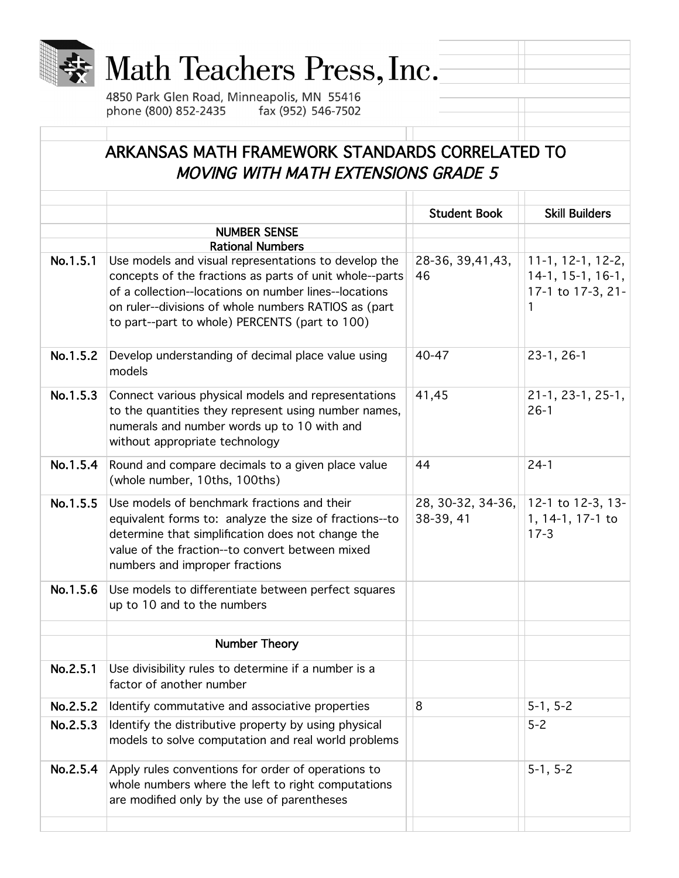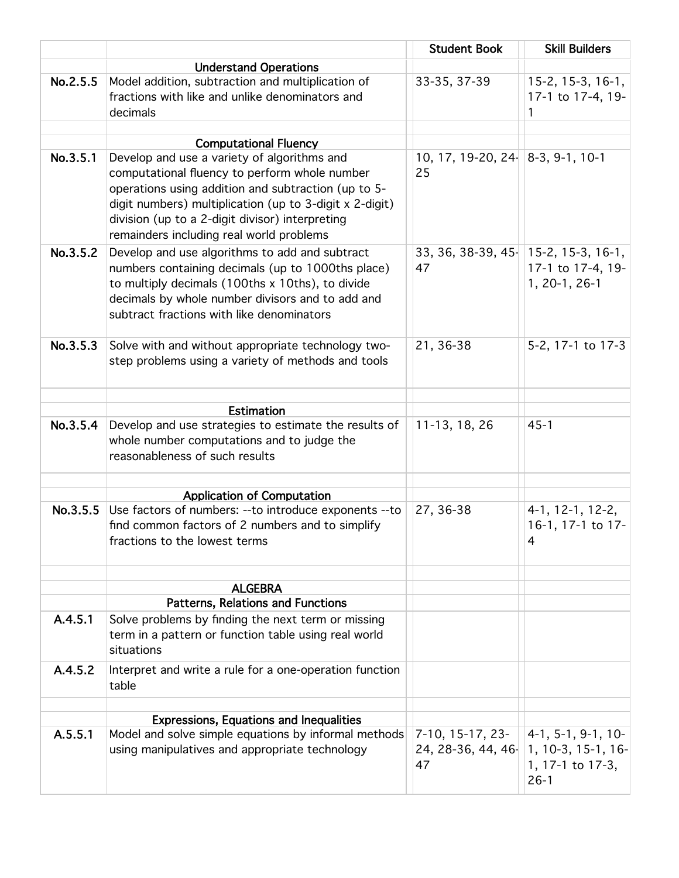|          |                                                                                                                                                                                                                                                                | <b>Student Book</b>                         | <b>Skill Builders</b>                                                |
|----------|----------------------------------------------------------------------------------------------------------------------------------------------------------------------------------------------------------------------------------------------------------------|---------------------------------------------|----------------------------------------------------------------------|
|          | <b>Understand Operations</b>                                                                                                                                                                                                                                   |                                             |                                                                      |
| No.2.5.5 | Model addition, subtraction and multiplication of<br>fractions with like and unlike denominators and<br>decimals                                                                                                                                               | 33-35, 37-39                                | 15-2, 15-3, 16-1,<br>17-1 to 17-4, 19-<br>1                          |
|          |                                                                                                                                                                                                                                                                |                                             |                                                                      |
| No.3.5.1 | <b>Computational Fluency</b><br>Develop and use a variety of algorithms and                                                                                                                                                                                    | 10, 17, 19-20, 24 $ 8-3, 9-1, 10-1$         |                                                                      |
|          | computational fluency to perform whole number<br>operations using addition and subtraction (up to 5-<br>digit numbers) multiplication (up to 3-digit x 2-digit)<br>division (up to a 2-digit divisor) interpreting<br>remainders including real world problems | 25                                          |                                                                      |
| No.3.5.2 | Develop and use algorithms to add and subtract<br>numbers containing decimals (up to 1000ths place)<br>to multiply decimals (100ths x 10ths), to divide<br>decimals by whole number divisors and to add and<br>subtract fractions with like denominators       | $33, 36, 38-39, 45$ 15-2, 15-3, 16-1,<br>47 | 17-1 to 17-4, 19-<br>1, 20-1, 26-1                                   |
| No.3.5.3 | Solve with and without appropriate technology two-<br>step problems using a variety of methods and tools                                                                                                                                                       | 21, 36-38                                   | 5-2, 17-1 to 17-3                                                    |
|          | <b>Estimation</b>                                                                                                                                                                                                                                              |                                             |                                                                      |
| No.3.5.4 | Develop and use strategies to estimate the results of<br>whole number computations and to judge the<br>reasonableness of such results                                                                                                                          | 11-13, 18, 26                               | $45 - 1$                                                             |
|          |                                                                                                                                                                                                                                                                |                                             |                                                                      |
| No.3.5.5 | <b>Application of Computation</b><br>Use factors of numbers: -- to introduce exponents -- to<br>find common factors of 2 numbers and to simplify<br>fractions to the lowest terms                                                                              | 27, 36-38                                   | 4-1, 12-1, 12-2,<br>16-1, 17-1 to 17-<br>4                           |
|          |                                                                                                                                                                                                                                                                |                                             |                                                                      |
|          | <b>ALGEBRA</b>                                                                                                                                                                                                                                                 |                                             |                                                                      |
| A.4.5.1  | Patterns, Relations and Functions<br>Solve problems by finding the next term or missing<br>term in a pattern or function table using real world<br>situations                                                                                                  |                                             |                                                                      |
| A.4.5.2  | Interpret and write a rule for a one-operation function<br>table                                                                                                                                                                                               |                                             |                                                                      |
|          | <b>Expressions, Equations and Inequalities</b>                                                                                                                                                                                                                 |                                             |                                                                      |
| A.5.5.1  | Model and solve simple equations by informal methods                                                                                                                                                                                                           | $7-10, 15-17, 23-$                          | $ 4-1, 5-1, 9-1, 10-$                                                |
|          | using manipulatives and appropriate technology                                                                                                                                                                                                                 | 47                                          | 24, 28-36, 44, 46   1, 10-3, 15-1, 16-<br>1, 17-1 to 17-3,<br>$26-1$ |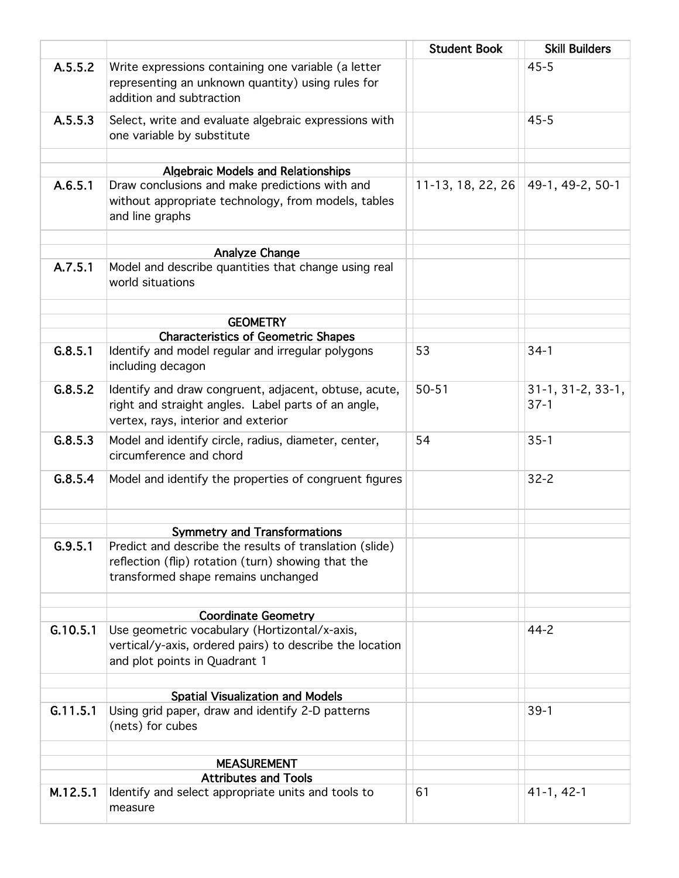|          |                                                                                                                                                     | <b>Student Book</b> | <b>Skill Builders</b>         |
|----------|-----------------------------------------------------------------------------------------------------------------------------------------------------|---------------------|-------------------------------|
| A.5.5.2  | Write expressions containing one variable (a letter                                                                                                 |                     | $45 - 5$                      |
|          | representing an unknown quantity) using rules for<br>addition and subtraction                                                                       |                     |                               |
| A.5.5.3  | Select, write and evaluate algebraic expressions with<br>one variable by substitute                                                                 |                     | $45 - 5$                      |
|          |                                                                                                                                                     |                     |                               |
|          | <b>Algebraic Models and Relationships</b>                                                                                                           |                     |                               |
| A.6.5.1  | Draw conclusions and make predictions with and<br>without appropriate technology, from models, tables<br>and line graphs                            | $11-13, 18, 22, 26$ | 49-1, 49-2, 50-1              |
|          | Analyze Change                                                                                                                                      |                     |                               |
| A.7.5.1  | Model and describe quantities that change using real<br>world situations                                                                            |                     |                               |
|          | <b>GEOMETRY</b>                                                                                                                                     |                     |                               |
|          | <b>Characteristics of Geometric Shapes</b>                                                                                                          |                     |                               |
| G.8.5.1  | Identify and model regular and irregular polygons<br>including decagon                                                                              | 53                  | $34-1$                        |
| G.8.5.2  | Identify and draw congruent, adjacent, obtuse, acute,<br>right and straight angles. Label parts of an angle,<br>vertex, rays, interior and exterior | $50 - 51$           | $31-1, 31-2, 33-1,$<br>$37-1$ |
| G.8.5.3  | Model and identify circle, radius, diameter, center,<br>circumference and chord                                                                     | 54                  | $35 - 1$                      |
| G.8.5.4  | Model and identify the properties of congruent figures                                                                                              |                     | $32 - 2$                      |
|          | <b>Symmetry and Transformations</b>                                                                                                                 |                     |                               |
| G.9.5.1  | Predict and describe the results of translation (slide)                                                                                             |                     |                               |
|          | reflection (flip) rotation (turn) showing that the<br>transformed shape remains unchanged                                                           |                     |                               |
|          | <b>Coordinate Geometry</b>                                                                                                                          |                     |                               |
| G.10.5.1 | Use geometric vocabulary (Hortizontal/x-axis,<br>vertical/y-axis, ordered pairs) to describe the location<br>and plot points in Quadrant 1          |                     | $44 - 2$                      |
|          | <b>Spatial Visualization and Models</b>                                                                                                             |                     |                               |
| G.11.5.1 | Using grid paper, draw and identify 2-D patterns<br>(nets) for cubes                                                                                |                     | $39-1$                        |
|          | <b>MEASUREMENT</b>                                                                                                                                  |                     |                               |
|          | <b>Attributes and Tools</b>                                                                                                                         |                     |                               |
| M.12.5.1 | Identify and select appropriate units and tools to<br>measure                                                                                       | 61                  | $41-1, 42-1$                  |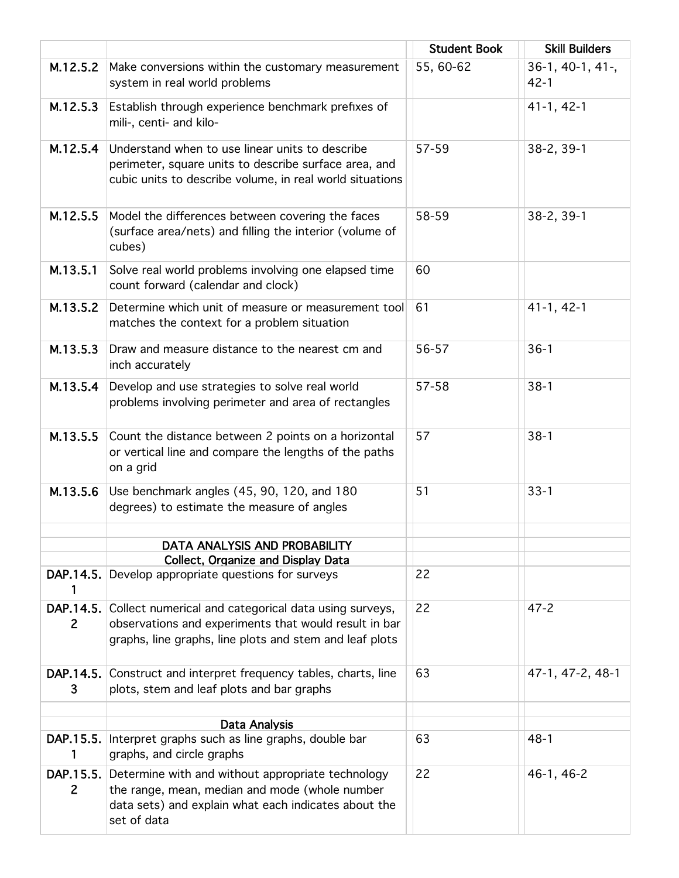|                             |                                                                                                                                                                            | <b>Student Book</b> | <b>Skill Builders</b>         |
|-----------------------------|----------------------------------------------------------------------------------------------------------------------------------------------------------------------------|---------------------|-------------------------------|
| M.12.5.2                    | Make conversions within the customary measurement<br>system in real world problems                                                                                         | 55, 60-62           | $36-1, 40-1, 41-$<br>$42 - 1$ |
| M.12.5.3                    | Establish through experience benchmark prefixes of<br>mili-, centi- and kilo-                                                                                              |                     | $41-1, 42-1$                  |
| M.12.5.4                    | Understand when to use linear units to describe<br>perimeter, square units to describe surface area, and<br>cubic units to describe volume, in real world situations       | 57-59               | 38-2, 39-1                    |
| M.12.5.5                    | Model the differences between covering the faces<br>(surface area/nets) and filling the interior (volume of<br>cubes)                                                      | 58-59               | 38-2, 39-1                    |
| M.13.5.1                    | Solve real world problems involving one elapsed time<br>count forward (calendar and clock)                                                                                 | 60                  |                               |
| M.13.5.2                    | Determine which unit of measure or measurement tool<br>matches the context for a problem situation                                                                         | 61                  | $41-1, 42-1$                  |
| M.13.5.3                    | Draw and measure distance to the nearest cm and<br>inch accurately                                                                                                         | 56-57               | $36-1$                        |
| M.13.5.4                    | Develop and use strategies to solve real world<br>problems involving perimeter and area of rectangles                                                                      | 57-58               | $38-1$                        |
| M.13.5.5                    | Count the distance between 2 points on a horizontal<br>or vertical line and compare the lengths of the paths<br>on a grid                                                  | 57                  | $38-1$                        |
| M.13.5.6                    | Use benchmark angles (45, 90, 120, and 180<br>degrees) to estimate the measure of angles                                                                                   | 51                  | $33 - 1$                      |
|                             |                                                                                                                                                                            |                     |                               |
|                             | DATA ANALYSIS AND PROBABILITY<br><b>Collect, Organize and Display Data</b>                                                                                                 |                     |                               |
| DAP.14.5.<br>1              | Develop appropriate questions for surveys                                                                                                                                  | 22                  |                               |
| DAP.14.5.<br>$\overline{2}$ | Collect numerical and categorical data using surveys,<br>observations and experiments that would result in bar<br>graphs, line graphs, line plots and stem and leaf plots  | 22                  | $47 - 2$                      |
| DAP.14.5.<br>3              | Construct and interpret frequency tables, charts, line<br>plots, stem and leaf plots and bar graphs                                                                        | 63                  | 47-1, 47-2, 48-1              |
|                             |                                                                                                                                                                            |                     |                               |
| DAP.15.5.                   | Data Analysis<br>Interpret graphs such as line graphs, double bar                                                                                                          | 63                  | $48 - 1$                      |
| 1                           | graphs, and circle graphs                                                                                                                                                  |                     |                               |
| DAP.15.5.<br>$\overline{2}$ | Determine with and without appropriate technology<br>the range, mean, median and mode (whole number<br>data sets) and explain what each indicates about the<br>set of data | 22                  | 46-1, 46-2                    |